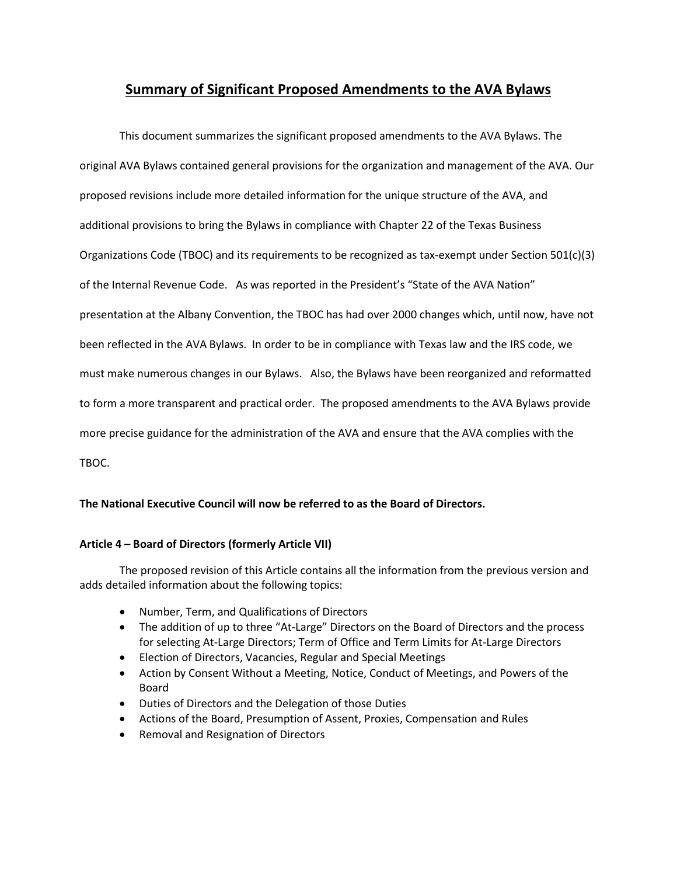# **Summary of Significant Proposed Amendments to the AVA Bylaws**

This document summarizes the significant proposed amendments to the AVA Bylaws. The original AVA Bylaws contained general provisions for the organization and management of the AVA. Our proposed revisions include more detailed information for the unique structure of the AVA, and additional provisions to bring the Bylaws in compliance with Chapter 22 of the Texas Business Organizations Code (TBOC) and its requirements to be recognized as tax-exempt under Section 501(c)(3) of the Internal Revenue Code. As was reported in the President's "State of the AVA Nation" presentation at the Albany Convention, the TBOC has had over 2000 changes which, until now, have not been reflected in the AVA Bylaws. In order to be in compliance with Texas law and the IRS code, we must make numerous changes in our Bylaws. Also, the Bylaws have been reorganized and reformatted to form a more transparent and practical order. The proposed amendments to the AVA Bylaws provide more precise guidance for the administration of the AVA and ensure that the AVA complies with the TBOC.

# **The National Executive Council will now be referred to as the Board of Directors.**

#### **Article 4 – Board of Directors (formerly Article VII)**

The proposed revision of this Article contains all the information from the previous version and adds detailed information about the following topics:

- Number, Term, and Qualifications of Directors
- The addition of up to three "At-Large" Directors on the Board of Directors and the process for selecting At-Large Directors; Term of Office and Term Limits for At-Large Directors
- Election of Directors, Vacancies, Regular and Special Meetings
- Action by Consent Without a Meeting, Notice, Conduct of Meetings, and Powers of the Board
- Duties of Directors and the Delegation of those Duties
- Actions of the Board, Presumption of Assent, Proxies, Compensation and Rules
- Removal and Resignation of Directors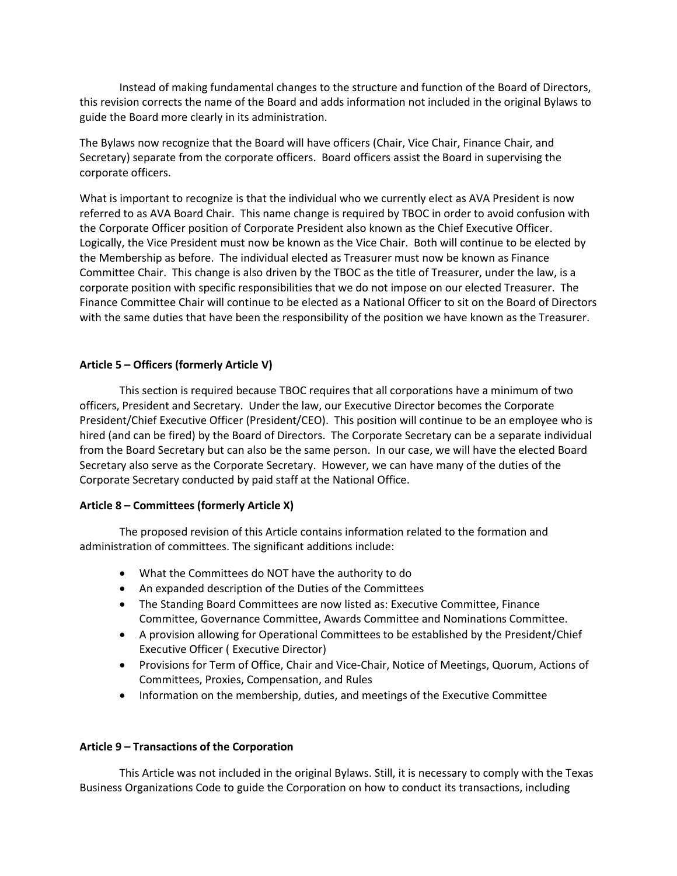Instead of making fundamental changes to the structure and function of the Board of Directors, this revision corrects the name of the Board and adds information not included in the original Bylaws to guide the Board more clearly in its administration.

The Bylaws now recognize that the Board will have officers (Chair, Vice Chair, Finance Chair, and Secretary) separate from the corporate officers. Board officers assist the Board in supervising the corporate officers.

What is important to recognize is that the individual who we currently elect as AVA President is now referred to as AVA Board Chair. This name change is required by TBOC in order to avoid confusion with the Corporate Officer position of Corporate President also known as the Chief Executive Officer. Logically, the Vice President must now be known as the Vice Chair. Both will continue to be elected by the Membership as before. The individual elected as Treasurer must now be known as Finance Committee Chair. This change is also driven by the TBOC as the title of Treasurer, under the law, is a corporate position with specific responsibilities that we do not impose on our elected Treasurer. The Finance Committee Chair will continue to be elected as a National Officer to sit on the Board of Directors with the same duties that have been the responsibility of the position we have known as the Treasurer.

# **Article 5 – Officers (formerly Article V)**

This section is required because TBOC requires that all corporations have a minimum of two officers, President and Secretary. Under the law, our Executive Director becomes the Corporate President/Chief Executive Officer (President/CEO). This position will continue to be an employee who is hired (and can be fired) by the Board of Directors. The Corporate Secretary can be a separate individual from the Board Secretary but can also be the same person. In our case, we will have the elected Board Secretary also serve as the Corporate Secretary. However, we can have many of the duties of the Corporate Secretary conducted by paid staff at the National Office.

# **Article 8 – Committees (formerly Article X)**

The proposed revision of this Article contains information related to the formation and administration of committees. The significant additions include:

- What the Committees do NOT have the authority to do
- An expanded description of the Duties of the Committees
- The Standing Board Committees are now listed as: Executive Committee, Finance Committee, Governance Committee, Awards Committee and Nominations Committee.
- A provision allowing for Operational Committees to be established by the President/Chief Executive Officer ( Executive Director)
- Provisions for Term of Office, Chair and Vice-Chair, Notice of Meetings, Quorum, Actions of Committees, Proxies, Compensation, and Rules
- Information on the membership, duties, and meetings of the Executive Committee

# **Article 9 – Transactions of the Corporation**

This Article was not included in the original Bylaws. Still, it is necessary to comply with the Texas Business Organizations Code to guide the Corporation on how to conduct its transactions, including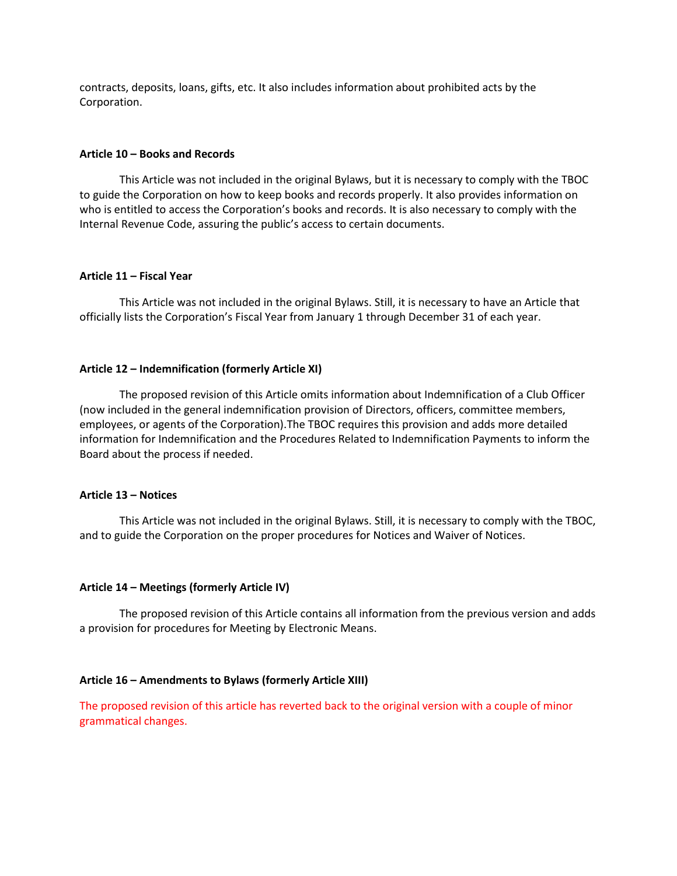contracts, deposits, loans, gifts, etc. It also includes information about prohibited acts by the Corporation.

#### **Article 10 – Books and Records**

This Article was not included in the original Bylaws, but it is necessary to comply with the TBOC to guide the Corporation on how to keep books and records properly. It also provides information on who is entitled to access the Corporation's books and records. It is also necessary to comply with the Internal Revenue Code, assuring the public's access to certain documents.

#### **Article 11 – Fiscal Year**

This Article was not included in the original Bylaws. Still, it is necessary to have an Article that officially lists the Corporation's Fiscal Year from January 1 through December 31 of each year.

#### **Article 12 – Indemnification (formerly Article XI)**

The proposed revision of this Article omits information about Indemnification of a Club Officer (now included in the general indemnification provision of Directors, officers, committee members, employees, or agents of the Corporation).The TBOC requires this provision and adds more detailed information for Indemnification and the Procedures Related to Indemnification Payments to inform the Board about the process if needed.

#### **Article 13 – Notices**

This Article was not included in the original Bylaws. Still, it is necessary to comply with the TBOC, and to guide the Corporation on the proper procedures for Notices and Waiver of Notices.

#### **Article 14 – Meetings (formerly Article IV)**

The proposed revision of this Article contains all information from the previous version and adds a provision for procedures for Meeting by Electronic Means.

#### **Article 16 – Amendments to Bylaws (formerly Article XIII)**

The proposed revision of this article has reverted back to the original version with a couple of minor grammatical changes.